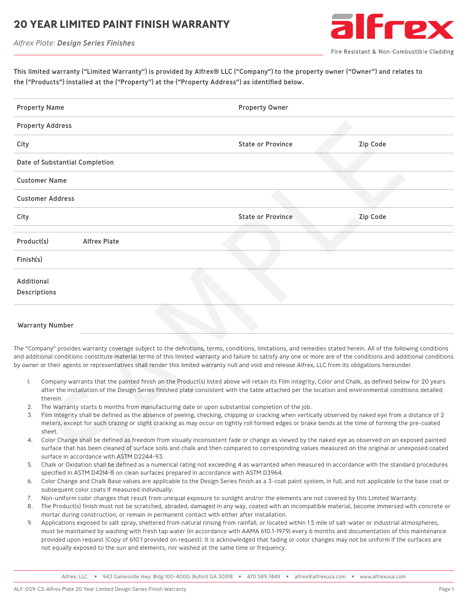#### **20 YEAR LIMITED PAINT FINISH WARRANT**

*Alfrex Plate: Design Series Finishes*



Fire Resistant & Non-Combustible Cladding

This limited warranty ("Limited Warranty") is provided by Alfrex® LLC ("Company") to the property owner ("Owner") and relates to the ("Products") installed at the ("Property") at the ("Property Address") as identified below.

| <b>Property Name</b> |                                                                                                                                            | <b>Property Owner</b>                                                                                                                                                                                                                                                                                                                                                                                                                                                                                                                                                                                                                                     |                 |  |  |  |
|----------------------|--------------------------------------------------------------------------------------------------------------------------------------------|-----------------------------------------------------------------------------------------------------------------------------------------------------------------------------------------------------------------------------------------------------------------------------------------------------------------------------------------------------------------------------------------------------------------------------------------------------------------------------------------------------------------------------------------------------------------------------------------------------------------------------------------------------------|-----------------|--|--|--|
|                      | <b>Property Address</b>                                                                                                                    |                                                                                                                                                                                                                                                                                                                                                                                                                                                                                                                                                                                                                                                           |                 |  |  |  |
| City                 |                                                                                                                                            | <b>State or Province</b>                                                                                                                                                                                                                                                                                                                                                                                                                                                                                                                                                                                                                                  | <b>Zip Code</b> |  |  |  |
|                      | Date of Substantial Completion                                                                                                             |                                                                                                                                                                                                                                                                                                                                                                                                                                                                                                                                                                                                                                                           |                 |  |  |  |
|                      | <b>Customer Name</b>                                                                                                                       |                                                                                                                                                                                                                                                                                                                                                                                                                                                                                                                                                                                                                                                           |                 |  |  |  |
|                      | <b>Customer Address</b>                                                                                                                    |                                                                                                                                                                                                                                                                                                                                                                                                                                                                                                                                                                                                                                                           |                 |  |  |  |
| City                 |                                                                                                                                            | <b>State or Province</b>                                                                                                                                                                                                                                                                                                                                                                                                                                                                                                                                                                                                                                  | <b>Zip Code</b> |  |  |  |
| Product(s)           | <b>Alfrex Plate</b>                                                                                                                        |                                                                                                                                                                                                                                                                                                                                                                                                                                                                                                                                                                                                                                                           |                 |  |  |  |
| Finish(s)            |                                                                                                                                            |                                                                                                                                                                                                                                                                                                                                                                                                                                                                                                                                                                                                                                                           |                 |  |  |  |
| Additional           | <b>Descriptions</b>                                                                                                                        |                                                                                                                                                                                                                                                                                                                                                                                                                                                                                                                                                                                                                                                           |                 |  |  |  |
|                      | <b>Warranty Number</b>                                                                                                                     |                                                                                                                                                                                                                                                                                                                                                                                                                                                                                                                                                                                                                                                           |                 |  |  |  |
| I.                   |                                                                                                                                            | The "Company" provides warranty coverage subject to the definitions, terms, conditions, limitations, and remedies stated herein. All of the following conditions<br>and additional conditions constitute material terms of this limited warranty and failure to satisfy any one or more are of the conditions and additional conditions<br>by owner or their agents or representatives shall render this limited warranty null and void and release Alfrex, LLC from its obligations hereunder.<br>Company warrants that the painted finish on the Product(s) listed above will retain its Film integrity, Color and Chalk, as defined below for 20 years |                 |  |  |  |
| 2.<br>3.             | therein.<br>The Warranty starts 6 months from manufacturing date or upon substantial completion of the job.                                | after the installation of the Design Series finished plate consistent with the table attached per the location and environmental conditions detailed<br>Film Integrity shall be defined as the absence of peeling, checking, chipping or cracking when vertically observed by naked eye from a distance of 2<br>meters, except for such crazing or slight cracking as may occur on tightly roll formed edges or brake bends at the time of forming the pre-coated                                                                                                                                                                                         |                 |  |  |  |
| 4.<br>5.             | sheet.<br>surface in accordance with ASTM D2244-93.<br>specified in ASTM D42l4-8 on clean surfaces prepared in accordance with ASTM D3964. | Color Change shall be defined as freedom from visually inconsistent fade or change as viewed by the naked eye as observed on an exposed painted<br>surface that has been cleaned of surface soils and chalk and then compared to corresponding values measured on the original or unexposed coated<br>Chalk or Oxidation shall be defined as a numerical rating not exceeding 4 as warranted when measured in accordance with the standard procedures                                                                                                                                                                                                     |                 |  |  |  |

#### Warranty Number

- 1. Company warrants that the painted finish on the Product(s) listed above will retain its Film integrity, Color and Chalk, as defined below for 20 years after the installation of the Design Series finished plate consistent with the table attached per the location and environmental conditions detailed therein.
- 2. The Warranty starts 6 months from manufacturing date or upon substantial completion of the job.
- 3. Film Integrity shall be defined as the absence of peeling, checking, chipping or cracking when vertically observed by naked eye from a distance of 2 meters, except for such crazing or slight cracking as may occur on tightly roll formed edges or brake bends at the time of forming the pre-coated sheet.
- 4. Color Change shall be defined as freedom from visually inconsistent fade or change as viewed by the naked eye as observed on an exposed painted surface that has been cleaned of surface soils and chalk and then compared to corresponding values measured on the original or unexposed coated surface in accordance with ASTM D2244-93.
- 5. Chalk or Oxidation shall be defined as a numerical rating not exceeding 4 as warranted when measured in accordance with the standard procedures specified in ASTM D4214-8 on clean surfaces prepared in accordance with ASTM D3964.
- 6. Color Change and Chalk Base values are applicable to the Design Series finish as a 3-coat paint system, in full, and not applicable to the base coat or subsequent color coats if measured individually.
- 7. Non-uniform color changes that result from unequal exposure to sunlight and/or the elements are not covered by this Limited Warranty.
- 8. The Product(s) finish must not be scratched, abraded, damaged in any way, coated with an incompatible material, become immersed with concrete or mortar during construction, or remain in permanent contact with either after installation.
- 9. Applications exposed to salt spray, sheltered from natural rinsing from rainfall, or located within 1.5 mile of salt-water or industrial atmospheres, must be maintained by washing with fresh tap water (in accordance with AAMA 610.1-1979) every 6 months and documentation of this maintenance provided upon request (Copy of 610.1 provided on request). It is acknowledged that fading or color changes may not be uniform if the surfaces are not equally exposed to the sun and elements, nor washed at the same time or frequency.

Alfrex, LLC. • 943 Gainesville Hwy. Bldg 100-4000, Buford GA 30518 • 470.589.7449 • alfrex@alfrexusa.com • www.alfrexusa.com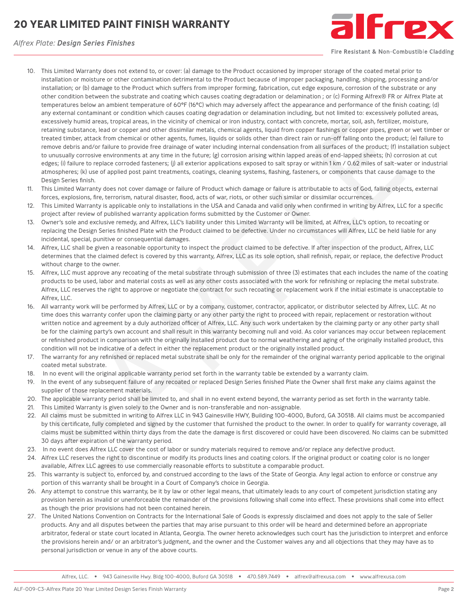# **20 YEAR LIMITED PAINT FINISH WARRANTY**



*Alfrex Plate: Design Series Finishes*

Fire Resistant & Non-Combustible Cladding

- 10. This Limited Warranty does not extend to, or cover: (a) damage to the Product occasioned by improper storage of the coated metal prior to installation or moisture or other contamination detrimental to the Product because of improper packaging, handling, shipping, processing and/or installation; or (b) damage to the Product which suffers from improper forming, fabrication, cut edge exposure, corrosion of the substrate or any other condition between the substrate and coating which causes coating degradation or delamination ; or (c) Forming Alfrex® FR or Alfrex Plate at temperatures below an ambient temperature of 60°F (16°C) which may adversely affect the appearance and performance of the finish coating; (d) any external contaminant or condition which causes coating degradation or delamination including, but not limited to: excessively polluted areas, excessively humid areas, tropical areas, in the vicinity of chemical or iron industry, contact with concrete, mortar, soil, ash, fertilizer, moisture, retaining substance, lead or copper and other dissimilar metals, chemical agents, liquid from copper flashings or copper pipes, green or wet timber or treated timber, attack from chemical or other agents, fumes, liquids or solids other than direct rain or run-off falling onto the product; (e) failure to remove debris and/or failure to provide free drainage of water including internal condensation from all surfaces of the product; (f) installation subject to unusually corrosive environments at any time in the future; (g) corrosion arising within lapped areas of end-lapped sheets; (h) corrosion at cut edges; (i) failure to replace corroded fasteners; (i) all exterior applications exposed to salt spray or within 1 km / 0.62 miles of salt-water or industrial atmospheres; (k) use of applied post paint treatments, coatings, cleaning systems, flashing, fasteners, or components that cause damage to the Design Series finish. External to the state of the state of the state of the state of the state of the state of the state of the state of the state of the state of the state of the state of the state of the state of the state of the state of th
- 11. This Limited Warranty does not cover damage or failure of Product which damage or failure is attributable to acts of God, falling objects, external forces, explosions, fire, terrorism, natural disaster, flood, acts of war, riots, or other such similar or dissimilar occurrences.
- 12. This Limited Warranty is applicable only to installations in the USA and Canada and valid only when confirmed in writing by Alfrex, LLC for a specific project after review of published warranty application forms submitted by the Customer or Owner.
- 13. Owner's sole and exclusive remedy, and Alfrex, LLC's liability under this Limited Warranty will be limited, at Alfrex, LLC's option, to recoating or replacing the Design Series finished Plate with the Product claimed to be defective. Under no circumstances will Alfrex, LLC be held liable for any incidental, special, punitive or consequential damages.
- 14. Alfrex, LLC shall be given a reasonable opportunity to inspect the product claimed to be defective. If after inspection of the product, Alfrex, LLC determines that the claimed defect is covered by this warranty, Alfrex, LLC as its sole option, shall refinish, repair, or replace, the defective Product without charge to the owner.
- 15. Alfrex, LLC must approve any recoating of the metal substrate through submission of three (3) estimates that each includes the name of the coating products to be used, labor and material costs as well as any other costs associated with the work for refinishing or replacing the metal substrate. Alfrex, LLC reserves the right to approve or negotiate the contract for such recoating or replacement work if the initial estimate is unacceptable to Alfrex, LLC.
- 16. All warranty work will be performed by Alfrex, LLC or by a company, customer, contractor, applicator, or distributor selected by Alfrex, LLC. At no time does this warranty confer upon the claiming party or any other party the right to proceed with repair, replacement or restoration without written notice and agreement by a duly authorized officer of Alfrex, LLC. Any such work undertaken by the claiming party or any other party shall be for the claiming party's own account and shall result in this warranty becoming null and void. As color variances may occur between replacement or refinished product in comparison with the originally installed product due to normal weathering and aging of the originally installed product, this condition will not be indicative of a defect in either the replacement product or the originally installed product.
- 17. The warranty for any refinished or replaced metal substrate shall be only for the remainder of the original warranty period applicable to the original coated metal substrate.
- 18. In no event will the original applicable warranty period set forth in the warranty table be extended by a warranty claim.
- 19. In the event of any subsequent failure of any recoated or replaced Design Series finished Plate the Owner shall first make any claims against the supplier of those replacement materials.
- 20. The applicable warranty period shall be limited to, and shall in no event extend beyond, the warranty period as set forth in the warranty table.
- 21. This Limited Warranty is given solely to the Owner and is non-transferable and non-assignable.
- 22. All claims must be submitted in writing to Alfrex LLC in 943 Gainesville HWY, Building 100-4000, Buford, GA 30518. All claims must be accompanied by this certificate, fully completed and signed by the customer that furnished the product to the owner. In order to qualify for warranty coverage, all claims must be submitted within thirty days from the date the damage is first discovered or could have been discovered. No claims can be submitted 30 days after expiration of the warranty period.
- 23. In no event does Alfrex LLC cover the cost of labor or sundry materials required to remove and/or replace any defective product.
- 24. Alfrex LLC reserves the right to discontinue or modify its products lines and coating colors. If the original product or coating color is no longer available, Alfrex LLC agrees to use commercially reasonable efforts to substitute a comparable product.
- 25. This warranty is subject to, enforced by, and construed according to the laws of the State of Georgia. Any legal action to enforce or construe any portion of this warranty shall be brought in a Court of Company's choice in Georgia.
- 26. Any attempt to construe this warranty, be it by law or other legal means, that ultimately leads to any court of competent jurisdiction stating any provision herein as invalid or unenforceable the remainder of the provisions following shall come into effect. These provisions shall come into effect as though the prior provisions had not been contained herein.
- 27. The United Nations Convention on Contracts for the International Sale of Goods is expressly disclaimed and does not apply to the sale of Seller products. Any and all disputes between the parties that may arise pursuant to this order will be heard and determined before an appropriate arbitrator, federal or state court located in Atlanta, Georgia. The owner hereto acknowledges such court has the jurisdiction to interpret and enforce the provisions herein and/ or an arbitrator's judgment, and the owner and the Customer waives any and all objections that they may have as to personal jurisdiction or venue in any of the above courts.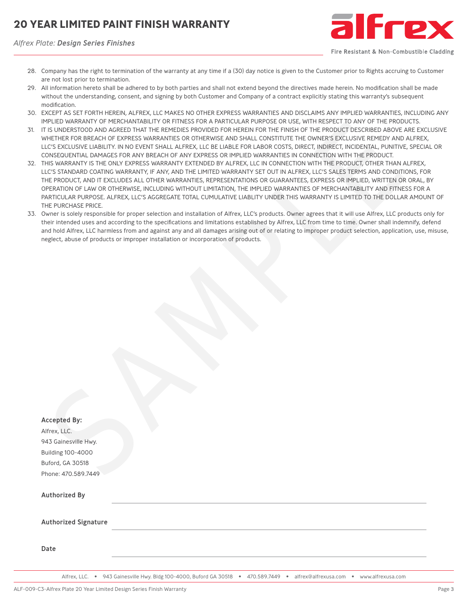## **20 YEAR LIMITED PAINT FINISH WARRANTY**

*Alfrex Plate: Design Series Finishes*



Fire Resistant & Non-Combustible Cladding

- 28. Company has the right to termination of the warranty at any time if a (30) day notice is given to the Customer prior to Rights accruing to Customer are not lost prior to termination.
- 29. All information hereto shall be adhered to by both parties and shall not extend beyond the directives made herein. No modification shall be made without the understanding, consent, and signing by both Customer and Company of a contract explicitly stating this warranty's subsequent modification.
- 30. EXCEPT AS SET FORTH HEREIN, ALFREX, LLC MAKES NO OTHER EXPRESS WARRANTIES AND DISCLAIMS ANY IMPLIED WARRANTIES, INCLUDING ANY IMPLIED WARRANTY OF MERCHANTABILITY OR FITNESS FOR A PARTICULAR PURPOSE OR USE, WITH RESPECT TO ANY OF THE PRODUCTS.
- 31. IT IS UNDERSTOOD AND AGREED THAT THE REMEDIES PROVIDED FOR HEREIN FOR THE FINISH OF THE PRODUCT DESCRIBED ABOVE ARE EXCLUSIVE WHETHER FOR BREACH OF EXPRESS WARRANTIES OR OTHERWISE AND SHALL CONSTITUTE THE OWNER'S EXCLUSIVE REMEDY AND ALFREX, LLC'S EXCLUSIVE LIABILITY. IN NO EVENT SHALL ALFREX, LLC BE LIABLE FOR LABOR COSTS, DIRECT, INDIRECT, INCIDENTAL, PUNITIVE, SPECIAL OR CONSEQUENTIAL DAMAGES FOR ANY BREACH OF ANY EXPRESS OR IMPLIED WARRANTIES IN CONNECTION WITH THE PRODUCT.
- 32. THIS WARRANTY IS THE ONLY EXPRESS WARRANTY EXTENDED BY ALFREX, LLC IN CONNECTION WITH THE PRODUCT, OTHER THAN ALFREX, LLC'S STANDARD COATING WARRANTY, IF ANY, AND THE LIMITED WARRANTY SET OUT IN ALFREX, LLC'S SALES TERMS AND CONDITIONS, FOR THE PRODUCT, AND IT EXCLUDES ALL OTHER WARRANTIES, REPRESENTATIONS OR GUARANTEES, EXPRESS OR IMPLIED, WRITTEN OR ORAL, BY OPERATION OF LAW OR OTHERWISE, INCLUDING WITHOUT LIMITATION, THE IMPLIED WARRANTIES OF MERCHANTABILITY AND FITNESS FOR A PARTICULAR PURPOSE. ALFREX, LLC'S AGGREGATE TOTAL CUMULATIVE LIABLITY UNDER THIS WARRANTY IS LIMITED TO THE DOLLAR AMOUNT OF THE PURCHASE PRICE.
- 33. Owner is solely responsible for proper selection and installation of Alfrex, LLC's products. Owner agrees that it will use Alfrex, LLC products only for their intended uses and according to the specifications and limitations established by Alfrex, LLC from time to time. Owner shall indemnify, defend and hold Alfrex, LLC harmless from and against any and all damages arising out of or relating to improper product selection, application, use, misuse, neglect, abuse of products or improper installation or incorporation of products.

| וויור בובט וואמתמוז דיטר ויובתטוומוזומטובו דיטת רוווזיבסט רטת מירמתונטבמת רטתרטטב טת טטב, וויודתכטרבט דוט מוזד<br>IT IS UNDERSTOOD AND AGREED THAT THE REMEDIES PROVIDED FOR HEREIN FOR THE FINISH OF THE PRODUCT DESCRIBED ABOVE ARE EXC<br>WHETHER FOR BREACH OF EXPRESS WARRANTIES OR OTHERWISE AND SHALL CONSTITUTE THE OWNER'S EXCLUSIVE REMEDY AND ALFREX,<br>LLC'S EXCLUSIVE LIABILITY. IN NO EVENT SHALL ALFREX, LLC BE LIABLE FOR LABOR COSTS, DIRECT, INDIRECT, INCIDENTAL, PUNITIVE, SPECIA<br>CONSEQUENTIAL DAMAGES FOR ANY BREACH OF ANY EXPRESS OR IMPLIED WARRANTIES IN CONNECTION WITH THE PRODUCT.<br>THIS WARRANTY IS THE ONLY EXPRESS WARRANTY EXTENDED BY ALFREX, LLC IN CONNECTION WITH THE PRODUCT, OTHER THAN ALFREX,<br>LLC'S STANDARD COATING WARRANTY, IF ANY, AND THE LIMITED WARRANTY SET OUT IN ALFREX, LLC'S SALES TERMS AND CONDITIONS, FOI<br>THE PRODUCT, AND IT EXCLUDES ALL OTHER WARRANTIES, REPRESENTATIONS OR GUARANTEES, EXPRESS OR IMPLIED, WRITTEN OR ORAL, E<br>OPERATION OF LAW OR OTHERWISE, INCLUDING WITHOUT LIMITATION, THE IMPLIED WARRANTIES OF MERCHANTABILITY AND FITNESS FOR A<br>PARTICULAR PURPOSE. ALFREX, LLC'S AGGREGATE TOTAL CUMULATIVE LIABLITY UNDER THIS WARRANTY IS LIMITED TO THE DOLLAR AMOUI<br>THE PURCHASE PRICE.<br>Owner is solely responsible for proper selection and installation of Alfrex, LLC's products. Owner agrees that it will use Alfrex, LLC products or<br>their intended uses and according to the specifications and limitations established by Alfrex, LLC from time to time. Owner shall indemnify, de<br>and hold Alfrex, LLC harmless from and against any and all damages arising out of or relating to improper product selection, application, use,<br>neglect, abuse of products or improper installation or incorporation of products. |
|---------------------------------------------------------------------------------------------------------------------------------------------------------------------------------------------------------------------------------------------------------------------------------------------------------------------------------------------------------------------------------------------------------------------------------------------------------------------------------------------------------------------------------------------------------------------------------------------------------------------------------------------------------------------------------------------------------------------------------------------------------------------------------------------------------------------------------------------------------------------------------------------------------------------------------------------------------------------------------------------------------------------------------------------------------------------------------------------------------------------------------------------------------------------------------------------------------------------------------------------------------------------------------------------------------------------------------------------------------------------------------------------------------------------------------------------------------------------------------------------------------------------------------------------------------------------------------------------------------------------------------------------------------------------------------------------------------------------------------------------------------------------------------------------------------------------------------------|
| <b>Accepted By:</b>                                                                                                                                                                                                                                                                                                                                                                                                                                                                                                                                                                                                                                                                                                                                                                                                                                                                                                                                                                                                                                                                                                                                                                                                                                                                                                                                                                                                                                                                                                                                                                                                                                                                                                                                                                                                                   |
| Alfrex, LLC.                                                                                                                                                                                                                                                                                                                                                                                                                                                                                                                                                                                                                                                                                                                                                                                                                                                                                                                                                                                                                                                                                                                                                                                                                                                                                                                                                                                                                                                                                                                                                                                                                                                                                                                                                                                                                          |
| 943 Gainesville Hwy.                                                                                                                                                                                                                                                                                                                                                                                                                                                                                                                                                                                                                                                                                                                                                                                                                                                                                                                                                                                                                                                                                                                                                                                                                                                                                                                                                                                                                                                                                                                                                                                                                                                                                                                                                                                                                  |
| <b>Building 100-4000</b>                                                                                                                                                                                                                                                                                                                                                                                                                                                                                                                                                                                                                                                                                                                                                                                                                                                                                                                                                                                                                                                                                                                                                                                                                                                                                                                                                                                                                                                                                                                                                                                                                                                                                                                                                                                                              |
| Buford, GA 30518                                                                                                                                                                                                                                                                                                                                                                                                                                                                                                                                                                                                                                                                                                                                                                                                                                                                                                                                                                                                                                                                                                                                                                                                                                                                                                                                                                                                                                                                                                                                                                                                                                                                                                                                                                                                                      |
| Phone: 470.589.7449                                                                                                                                                                                                                                                                                                                                                                                                                                                                                                                                                                                                                                                                                                                                                                                                                                                                                                                                                                                                                                                                                                                                                                                                                                                                                                                                                                                                                                                                                                                                                                                                                                                                                                                                                                                                                   |
| <b>Authorized By</b>                                                                                                                                                                                                                                                                                                                                                                                                                                                                                                                                                                                                                                                                                                                                                                                                                                                                                                                                                                                                                                                                                                                                                                                                                                                                                                                                                                                                                                                                                                                                                                                                                                                                                                                                                                                                                  |
| <b>Authorized Signature</b>                                                                                                                                                                                                                                                                                                                                                                                                                                                                                                                                                                                                                                                                                                                                                                                                                                                                                                                                                                                                                                                                                                                                                                                                                                                                                                                                                                                                                                                                                                                                                                                                                                                                                                                                                                                                           |
| Date                                                                                                                                                                                                                                                                                                                                                                                                                                                                                                                                                                                                                                                                                                                                                                                                                                                                                                                                                                                                                                                                                                                                                                                                                                                                                                                                                                                                                                                                                                                                                                                                                                                                                                                                                                                                                                  |

Alfrex, LLC. • 943 Gainesville Hwy. Bldg 100-4000, Buford GA 30518 • 470.589.7449 • alfrex@alfrexusa.com • www.alfrexusa.com